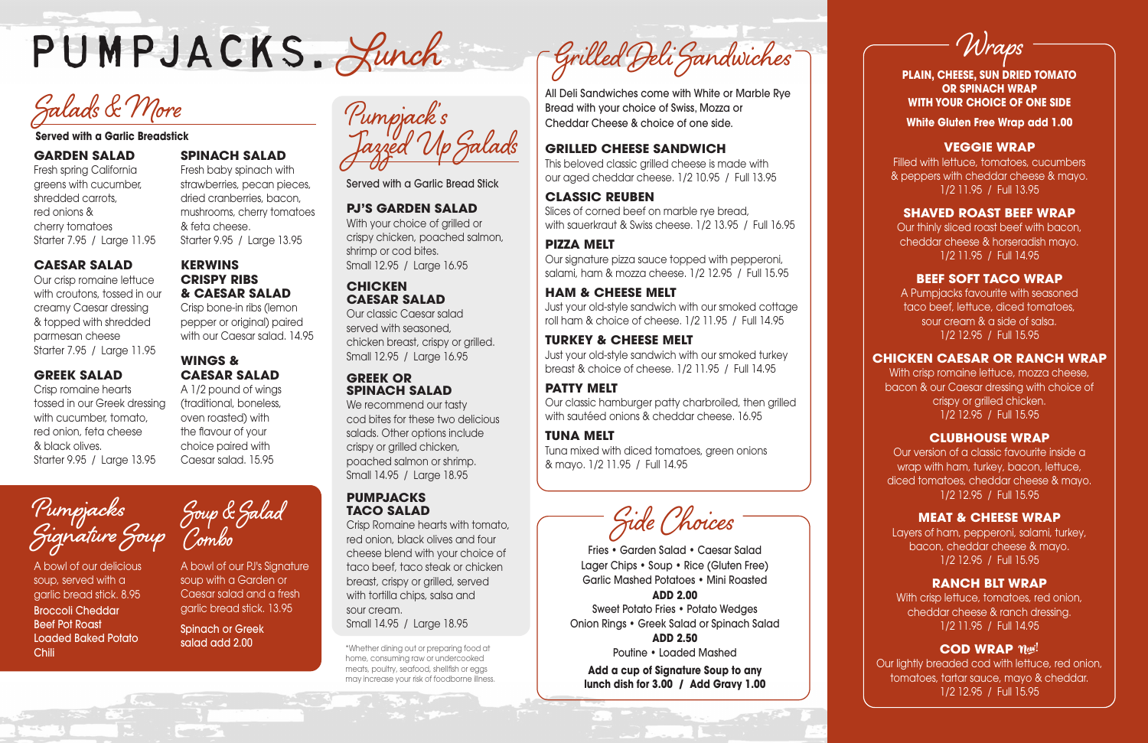# **GARDEN SALAD**

Fresh spring California greens with cucumber, shredded carrots, red onions & cherry tomatoes Starter 7.95 / Large 11.95

#### **CAESAR SALAD**

Our crisp romaine lettuce with croutons, tossed in our creamy Caesar dressing & topped with shredded parmesan cheese Starter 7.95 / Large 11.95

# **GREEK SALAD**

Crisp romaine hearts tossed in our Greek dressing with cucumber, tomato, red onion, feta cheese & black olives. Starter 9.95 / Large 13.95

# **SPINACH SALAD**

Fresh baby spinach with strawberries, pecan pieces, dried cranberries, bacon, mushrooms, cherry tomatoes & feta cheese. Starter 9.95 / Large 13.95

# **KERWINS CRISPY RIBS & CAESAR SALAD**

We recommend our tasty cod bites for these two delicious salads. Other options include crispy or grilled chicken, poached salmon or shrimp. Small 14.95 / Large 18.95

Crisp bone-in ribs (lemon pepper or original) paired with our Caesar salad. 14.95

# **WINGS & CAESAR SALAD**

A 1/2 pound of wings (traditional, boneless, oven roasted) with the flavour of your choice paired with Caesar salad. 15.95

Served with a Garlic Bread Stick

#### **PJ'S GARDEN SALAD**

With your choice of grilled or crispy chicken, poached salmon, shrimp or cod bites. Small 12.95 / Large 16.95

# **CHICKEN CAESAR SALAD**

Our classic Caesar salad served with seasoned, chicken breast, crispy or grilled. Small 12.95 / Large 16.95

> With crisp romaine lettuce, mozza cheese, bacon & our Caesar dressing with choice of crispy or grilled chicken. 1/2 12.95 / Full 15.95

#### **GREEK OR SPINACH SALAD**

### **PUMPJACKS TACO SALAD**

Crisp Romaine hearts with tomato, red onion, black olives and four cheese blend with your choice of taco beef, taco steak or chicken breast, crispy or grilled, served with tortilla chips, salsa and sour cream. Small 14.95 / Large 18.95

**Served with a Garlic Breadstick** Pumpjack's Jazzed Up Salads

**PLAIN, CHEESE, SUN DRIED TOMATO OR SPINACH WRAP WITH YOUR CHOICE OF ONE SIDE**

**White Gluten Free Wrap add 1.00**

# **VEGGIE WRAP**

Filled with lettuce, tomatoes, cucumbers & peppers with cheddar cheese & mayo. 1/2 11.95 / Full 13.95

# **SHAVED ROAST BEEF WRAP**

**Pumpjacks Pumpjacks**<br> **Soup & Salad Soup Combo** Crisp Romaine hearts with tomato,<br>
Crisp Romaine hearts with tomato,<br>
Combo<br>
Combo<br>
Combo<br>
Choicese blend with your choice of Fries • Garden Salad • Caesar

Our thinly sliced roast beef with bacon, cheddar cheese & horseradish mayo. 1/2 11.95 / Full 14.95

### **BEEF SOFT TACO WRAP**

A Pumpjacks favourite with seasoned taco beef, lettuce, diced tomatoes, sour cream & a side of salsa. 1/2 12.95 / Full 15.95

# **CHICKEN CAESAR OR RANCH WRAP**

# **CLUBHOUSE WRAP**

Our version of a classic favourite inside a wrap with ham, turkey, bacon, lettuce, diced tomatoes, cheddar cheese & mayo. 1/2 12.95 / Full 15.95

# **MEAT & CHEESE WRAP**

Layers of ham, pepperoni, salami, turkey, bacon, cheddar cheese & mayo. 1/2 12.95 / Full 15.95

# **RANCH BLT WRAP**

With crisp lettuce, tomatoes, red onion, cheddar cheese & ranch dressing. 1/2 11.95 / Full 14.95

# **COD WRAP**  $\eta_{e}$

Our lightly breaded cod with lettuce, red onion, tomatoes, tartar sauce, mayo & cheddar. 1/2 12.95 / Full 15.95

Wraps

\*Whether dining out or preparing food at home, consuming raw or undercooked meats, poultry, seafood, shellfish or eggs may increase your risk of foodborne illness.

# **GRILLED CHEESE SANDWICH**

This beloved classic grilled cheese is made with our aged cheddar cheese. 1/2 10.95 / Full 13.95

# **CLASSIC REUBEN**

Slices of corned beef on marble rye bread, with sauerkraut & Swiss cheese. 1/2 13.95 / Full 16.95

### **PIZZA MELT**

Our signature pizza sauce topped with pepperoni, salami, ham & mozza cheese. 1/2 12.95 / Full 15.95

# **HAM & CHEESE MELT**

Just your old-style sandwich with our smoked cottage roll ham & choice of cheese. 1/2 11.95 / Full 14.95

# **TURKEY & CHEESE MELT**

Just your old-style sandwich with our smoked turkey breast & choice of cheese. 1/2 11.95 / Full 14.95

# **PATTY MELT**

Our classic hamburger patty charbroiled, then grilled with sautéed onions & cheddar cheese. 16.95

#### **TUNA MELT**

Tuna mixed with diced tomatoes, green onions & mayo. 1/2 11.95 / Full 14.95

All Deli Sandwiches come with White or Marble Rye Bread with your choice of Swiss, Mozza or Cheddar Cheese & choice of one side.

A bowl of our delicious soup, served with a garlic bread stick. 8.95 Broccoli Cheddar Beef Pot Roast Loaded Baked Potato Chili



A bowl of our PJ's Signature soup with a Garden or Caesar salad and a fresh garlic bread stick. 13.95

Spinach or Greek salad add 2.00

Fries • Garden Salad • Caesar Salad Lager Chips • Soup • Rice (Gluten Free) Garlic Mashed Potatoes • Mini Roasted

#### **ADD 2.00**

Sweet Potato Fries • Potato Wedges Onion Rings • Greek Salad or Spinach Salad

> **ADD 2.50** Poutine • Loaded Mashed

**Add a cup of Signature Soup to any lunch dish for 3.00 / Add Gravy 1.00**



Salads & More<br>Served with a Garlic Breadstick